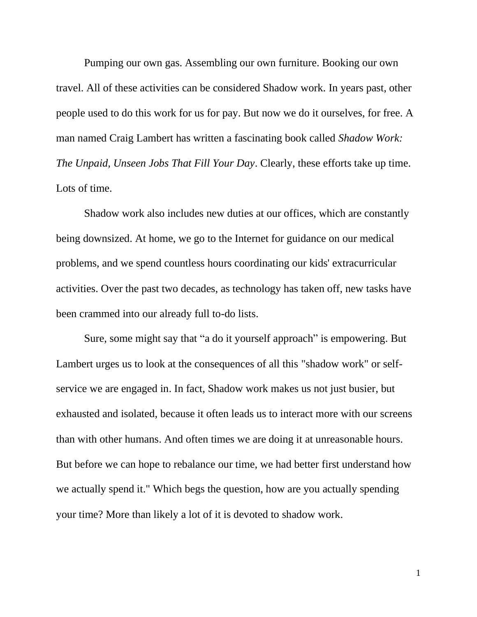Pumping our own gas. Assembling our own furniture. Booking our own travel. All of these activities can be considered Shadow work. In years past, other people used to do this work for us for pay. But now we do it ourselves, for free. A man named Craig Lambert has written a fascinating book called *Shadow Work: The Unpaid, Unseen Jobs That Fill Your Day*. Clearly, these efforts take up time. Lots of time.

Shadow work also includes new duties at our offices, which are constantly being downsized. At home, we go to the Internet for guidance on our medical problems, and we spend countless hours coordinating our kids' extracurricular activities. Over the past two decades, as technology has taken off, new tasks have been crammed into our already full to-do lists.

Sure, some might say that "a do it yourself approach" is empowering. But Lambert urges us to look at the consequences of all this "shadow work" or selfservice we are engaged in. In fact, Shadow work makes us not just busier, but exhausted and isolated, because it often leads us to interact more with our screens than with other humans. And often times we are doing it at unreasonable hours. But before we can hope to rebalance our time, we had better first understand how we actually spend it." Which begs the question, how are you actually spending your time? More than likely a lot of it is devoted to shadow work.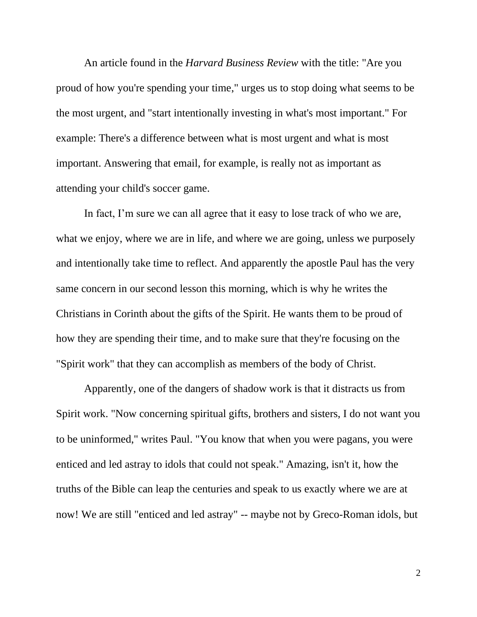An article found in the *Harvard Business Review* with the title: "Are you proud of how you're spending your time," urges us to stop doing what seems to be the most urgent, and "start intentionally investing in what's most important." For example: There's a difference between what is most urgent and what is most important. Answering that email, for example, is really not as important as attending your child's soccer game.

In fact, I'm sure we can all agree that it easy to lose track of who we are, what we enjoy, where we are in life, and where we are going, unless we purposely and intentionally take time to reflect. And apparently the apostle Paul has the very same concern in our second lesson this morning, which is why he writes the Christians in Corinth about the gifts of the Spirit. He wants them to be proud of how they are spending their time, and to make sure that they're focusing on the "Spirit work" that they can accomplish as members of the body of Christ.

Apparently, one of the dangers of shadow work is that it distracts us from Spirit work. "Now concerning spiritual gifts, brothers and sisters, I do not want you to be uninformed," writes Paul. "You know that when you were pagans, you were enticed and led astray to idols that could not speak." Amazing, isn't it, how the truths of the Bible can leap the centuries and speak to us exactly where we are at now! We are still "enticed and led astray" -- maybe not by Greco-Roman idols, but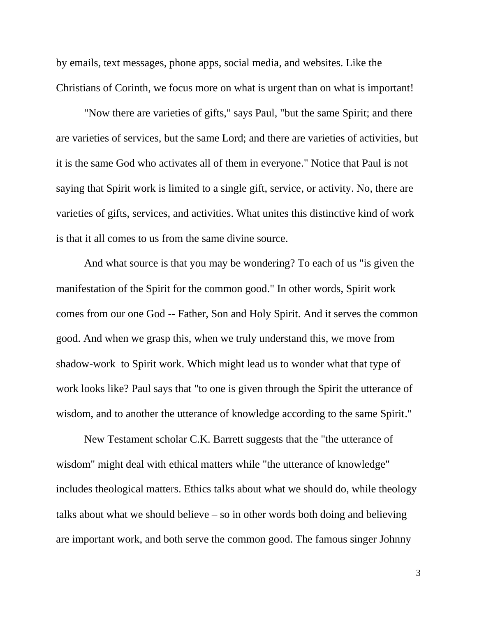by emails, text messages, phone apps, social media, and websites. Like the Christians of Corinth, we focus more on what is urgent than on what is important!

"Now there are varieties of gifts," says Paul, "but the same Spirit; and there are varieties of services, but the same Lord; and there are varieties of activities, but it is the same God who activates all of them in everyone." Notice that Paul is not saying that Spirit work is limited to a single gift, service, or activity. No, there are varieties of gifts, services, and activities. What unites this distinctive kind of work is that it all comes to us from the same divine source.

And what source is that you may be wondering? To each of us "is given the manifestation of the Spirit for the common good." In other words, Spirit work comes from our one God -- Father, Son and Holy Spirit. And it serves the common good. And when we grasp this, when we truly understand this, we move from shadow-work to Spirit work. Which might lead us to wonder what that type of work looks like? Paul says that "to one is given through the Spirit the utterance of wisdom, and to another the utterance of knowledge according to the same Spirit."

New Testament scholar C.K. Barrett suggests that the "the utterance of wisdom" might deal with ethical matters while "the utterance of knowledge" includes theological matters. Ethics talks about what we should do, while theology talks about what we should believe – so in other words both doing and believing are important work, and both serve the common good. The famous singer Johnny

3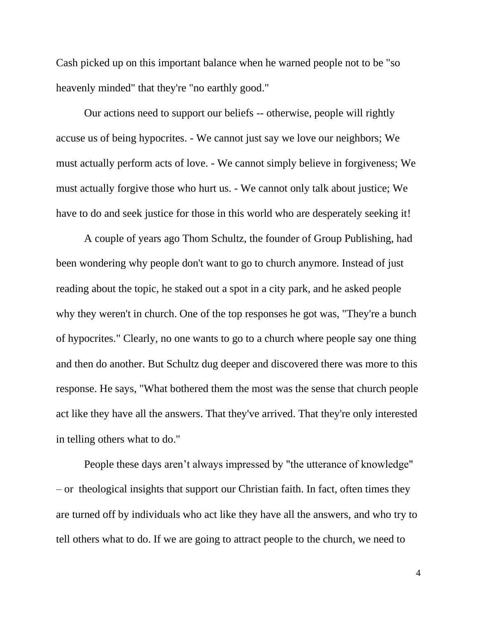Cash picked up on this important balance when he warned people not to be "so heavenly minded" that they're "no earthly good."

Our actions need to support our beliefs -- otherwise, people will rightly accuse us of being hypocrites. - We cannot just say we love our neighbors; We must actually perform acts of love. - We cannot simply believe in forgiveness; We must actually forgive those who hurt us. - We cannot only talk about justice; We have to do and seek justice for those in this world who are desperately seeking it!

A couple of years ago Thom Schultz, the founder of Group Publishing, had been wondering why people don't want to go to church anymore. Instead of just reading about the topic, he staked out a spot in a city park, and he asked people why they weren't in church. One of the top responses he got was, "They're a bunch of hypocrites." Clearly, no one wants to go to a church where people say one thing and then do another. But Schultz dug deeper and discovered there was more to this response. He says, "What bothered them the most was the sense that church people act like they have all the answers. That they've arrived. That they're only interested in telling others what to do."

People these days aren't always impressed by "the utterance of knowledge" – or theological insights that support our Christian faith. In fact, often times they are turned off by individuals who act like they have all the answers, and who try to tell others what to do. If we are going to attract people to the church, we need to

4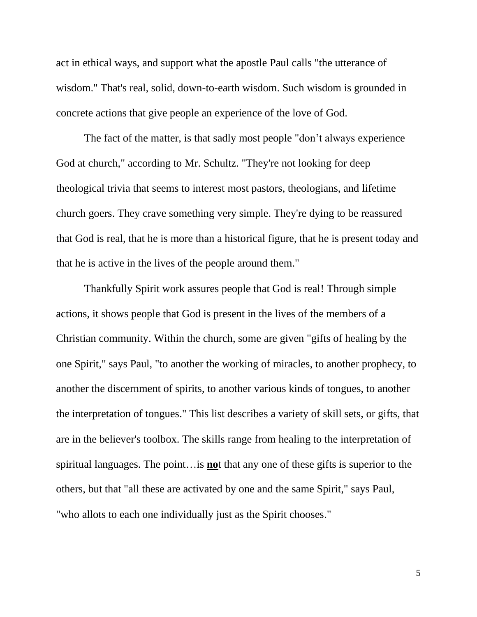act in ethical ways, and support what the apostle Paul calls "the utterance of wisdom." That's real, solid, down-to-earth wisdom. Such wisdom is grounded in concrete actions that give people an experience of the love of God.

The fact of the matter, is that sadly most people "don't always experience God at church," according to Mr. Schultz. "They're not looking for deep theological trivia that seems to interest most pastors, theologians, and lifetime church goers. They crave something very simple. They're dying to be reassured that God is real, that he is more than a historical figure, that he is present today and that he is active in the lives of the people around them."

Thankfully Spirit work assures people that God is real! Through simple actions, it shows people that God is present in the lives of the members of a Christian community. Within the church, some are given "gifts of healing by the one Spirit," says Paul, "to another the working of miracles, to another prophecy, to another the discernment of spirits, to another various kinds of tongues, to another the interpretation of tongues." This list describes a variety of skill sets, or gifts, that are in the believer's toolbox. The skills range from healing to the interpretation of spiritual languages. The point…is **no**t that any one of these gifts is superior to the others, but that "all these are activated by one and the same Spirit," says Paul, "who allots to each one individually just as the Spirit chooses."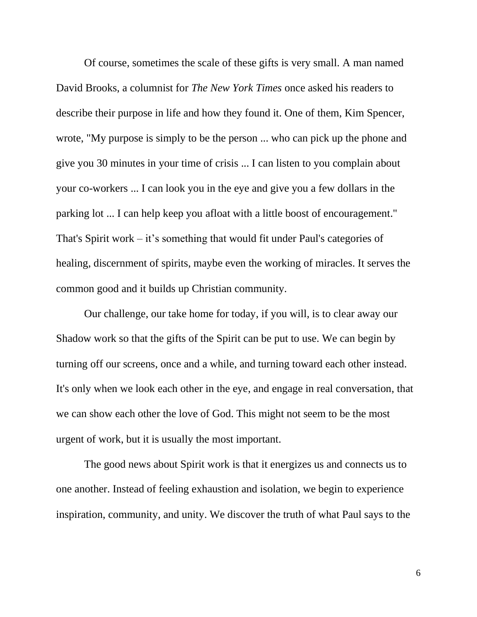Of course, sometimes the scale of these gifts is very small. A man named David Brooks, a columnist for *The New York Times* once asked his readers to describe their purpose in life and how they found it. One of them, Kim Spencer, wrote, "My purpose is simply to be the person ... who can pick up the phone and give you 30 minutes in your time of crisis ... I can listen to you complain about your co-workers ... I can look you in the eye and give you a few dollars in the parking lot ... I can help keep you afloat with a little boost of encouragement." That's Spirit work – it's something that would fit under Paul's categories of healing, discernment of spirits, maybe even the working of miracles. It serves the common good and it builds up Christian community.

Our challenge, our take home for today, if you will, is to clear away our Shadow work so that the gifts of the Spirit can be put to use. We can begin by turning off our screens, once and a while, and turning toward each other instead. It's only when we look each other in the eye, and engage in real conversation, that we can show each other the love of God. This might not seem to be the most urgent of work, but it is usually the most important.

The good news about Spirit work is that it energizes us and connects us to one another. Instead of feeling exhaustion and isolation, we begin to experience inspiration, community, and unity. We discover the truth of what Paul says to the

6